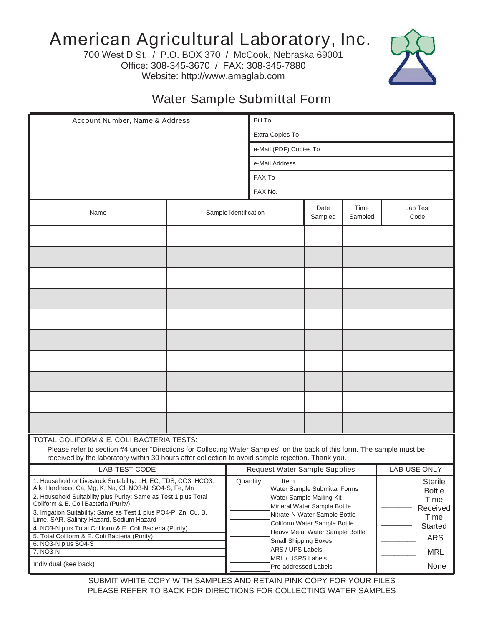## American Agricultural Laboratory, Inc.

700 West D St. / P.O. BOX 370 / McCook, Nebraska 69001 Office: 308-345-3670 / FAX: 308-345-7880 Website: http://www.amaglab.com



## Water Sample Submittal Form

| Account Number, Name & Address                                                                                                                                                                                                                                           |  |                               | <b>Bill To</b>                                                                                              |         |         |                                                     |  |
|--------------------------------------------------------------------------------------------------------------------------------------------------------------------------------------------------------------------------------------------------------------------------|--|-------------------------------|-------------------------------------------------------------------------------------------------------------|---------|---------|-----------------------------------------------------|--|
|                                                                                                                                                                                                                                                                          |  |                               | Extra Copies To                                                                                             |         |         |                                                     |  |
|                                                                                                                                                                                                                                                                          |  |                               | e-Mail (PDF) Copies To                                                                                      |         |         |                                                     |  |
|                                                                                                                                                                                                                                                                          |  |                               | e-Mail Address                                                                                              |         |         |                                                     |  |
|                                                                                                                                                                                                                                                                          |  |                               | FAX To                                                                                                      |         |         |                                                     |  |
|                                                                                                                                                                                                                                                                          |  |                               | FAX No.                                                                                                     |         |         |                                                     |  |
|                                                                                                                                                                                                                                                                          |  |                               |                                                                                                             | Date    | Time    | Lab Test                                            |  |
| Name                                                                                                                                                                                                                                                                     |  | Sample Identification         |                                                                                                             | Sampled | Sampled | Code                                                |  |
|                                                                                                                                                                                                                                                                          |  |                               |                                                                                                             |         |         |                                                     |  |
|                                                                                                                                                                                                                                                                          |  |                               |                                                                                                             |         |         |                                                     |  |
|                                                                                                                                                                                                                                                                          |  |                               |                                                                                                             |         |         |                                                     |  |
|                                                                                                                                                                                                                                                                          |  |                               |                                                                                                             |         |         |                                                     |  |
|                                                                                                                                                                                                                                                                          |  |                               |                                                                                                             |         |         |                                                     |  |
|                                                                                                                                                                                                                                                                          |  |                               |                                                                                                             |         |         |                                                     |  |
|                                                                                                                                                                                                                                                                          |  |                               |                                                                                                             |         |         |                                                     |  |
|                                                                                                                                                                                                                                                                          |  |                               |                                                                                                             |         |         |                                                     |  |
|                                                                                                                                                                                                                                                                          |  |                               |                                                                                                             |         |         |                                                     |  |
|                                                                                                                                                                                                                                                                          |  |                               |                                                                                                             |         |         |                                                     |  |
| TOTAL COLIFORM & E. COLI BACTERIA TESTS:<br>Please refer to section #4 under "Directions for Collecting Water Samples" on the back of this form. The sample must be<br>received by the laboratory within 30 hours after collection to avoid sample rejection. Thank you. |  |                               |                                                                                                             |         |         |                                                     |  |
| LAB TEST CODE                                                                                                                                                                                                                                                            |  | Request Water Sample Supplies |                                                                                                             |         |         | LAB USE ONLY                                        |  |
| 1. Household or Livestock Suitability: pH, EC, TDS, CO3, HCO3,<br>Alk, Hardness, Ca, Mg, K, Na, Cl, NO3-N, SO4-S, Fe, Mn<br>2. Household Suitability plus Purity: Same as Test 1 plus Total<br>Coliform & E. Coli Bacteria (Purity)                                      |  |                               | Quantity<br>Item<br>Water Sample Submittal Forms<br>Water Sample Mailing Kit<br>Mineral Water Sample Bottle |         |         | <b>Sterile</b><br><b>Bottle</b><br>Time<br>Received |  |
| 3. Irrigation Suitability: Same as Test 1 plus PO4-P, Zn, Cu, B,<br>Lime, SAR, Salinity Hazard, Sodium Hazard                                                                                                                                                            |  |                               | Nitrate-N Water Sample Bottle<br>Time<br>Coliform Water Sample Bottle<br>Started                            |         |         |                                                     |  |
| 4. NO3-N plus Total Coliform & E. Coli Bacteria (Purity)<br>5. Total Coliform & E. Coli Bacteria (Purity)                                                                                                                                                                |  |                               | Heavy Metal Water Sample Bottle<br><b>Small Shipping Boxes</b>                                              |         |         | <b>ARS</b>                                          |  |
| 6. NO3-N plus SO4-S<br>7. NO3-N                                                                                                                                                                                                                                          |  |                               | ARS / UPS Labels                                                                                            |         |         | <b>MRL</b>                                          |  |
| Individual (see back)                                                                                                                                                                                                                                                    |  |                               | MRL / USPS Labels<br>None<br>Pre-addressed Labels                                                           |         |         |                                                     |  |

SUBMIT WHITE COPY WITH SAMPLES AND RETAIN PINK COPY FOR YOUR FILES PLEASE REFER TO BACK FOR DIRECTIONS FOR COLLECTING WATER SAMPLES